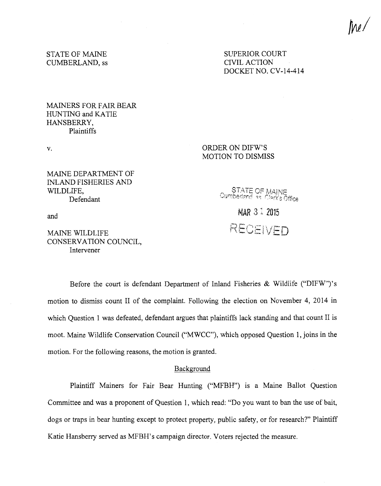*twl* 

STATE OF MAINE CUMBERLAND, ss SUPERIOR COURT CIVIL ACTION DOCKET NO. CV-14-414

MAINERS FOR FAIR BEAR HUNTING and KATIE HANSBERRY, Plaintiffs

v.

# ORDER ON DIFW'S MOTION TO DISMISS

MAINE DEPARTMENT OF INLAND FISHERIES AND WILDLIFE, Defendant

STATE OF MAINE<br>Cumberland as Clerk's Office

MAR 3 1 2015

RECEIVED

and

# MAINE WILDLIFE CONSERVATION COUNCIL, Intervener

Before the court is defendant Department of Inland Fisheries & Wildlife ("DIFW")'s motion to dismiss count II of the complaint. Following the election on November 4, 2014 in which Question 1 was defeated, defendant argues that plaintiffs lack standing and that count II is moot. Maine Wildlife Conservation Council ("MWCC"), which opposed Question 1, joins in the motion. For the following reasons, the motion is granted.

# Background

Plaintiff Mainers for Fair Bear Hunting ("MFBH") is a Maine Ballot Question Committee and was a proponent of Question 1, which read: "Do you want to ban the use of bait, dogs or traps in bear hunting except to protect property, public safety, or for research?" Plaintiff Katie Hansberry served as MFBH's campaign director. Voters rejected the measure.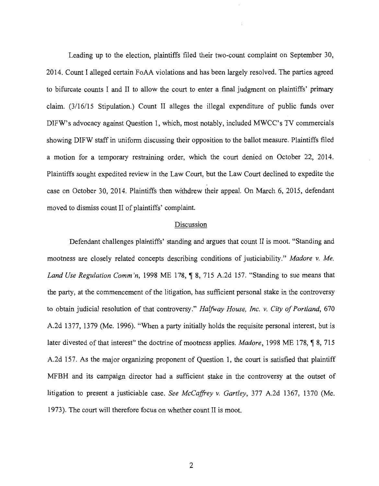Leading up to the election, plaintiffs filed their two-count complaint on September 30, 2014. Count I alleged certain FoAA violations and has been largely resolved. The parties agreed to bifurcate counts I and II to allow the court to enter a final judgment on plaintiffs' primary claim. (3/16115 Stipulation.) Count II alleges the illegal expenditure of public funds over DIFW's advocacy against Question 1, which, most notably, included MWCC's TV commercials showing DIFW staff in uniform discussing their opposition to the ballot measure. Plaintiffs filed a motion for a temporary restraining order, which the court denied on October 22, 2014. Plaintiffs sought expedited review in the Law Court, but the Law Court declined to expedite the case on October 30, 2014. Plaintiffs then withdrew their appeal. On March 6, 2015, defendant moved to dismiss count II of plaintiffs' complaint.

# Discussion

Defendant challenges plaintiffs' standing and argues that count II is moot. "Standing and mootness are closely related concepts describing conditions of justiciability." *Madore v. Me. Land Use Regulation Comm'n,* 1998 ME 178, ¶ 8, 715 A.2d 157. "Standing to sue means that the party, at the commencement of the litigation, has sufficient personal stake in the controversy to obtain judicial resolution of that controversy." *Halfway House, Inc. v. City of Portland,* 670 A.2d 1377, 1379 (Me. 1996). "When a party initially holds the requisite personal interest, but is later divested of that interest" the doctrine of mootness applies. *Madore*, 1998 ME 178, ¶ 8, 715 A.2d 157. As the major organizing proponent of Question 1, the court is satisfied that plaintiff MFBH and its campaign director had a sufficient stake in the controversy at the outset of litigation to present a justiciable case. *See McCaffrey v. Gartley,* 377 A.2d 1367, 1370 (Me. 1973). The court will therefore focus on whether count II is moot.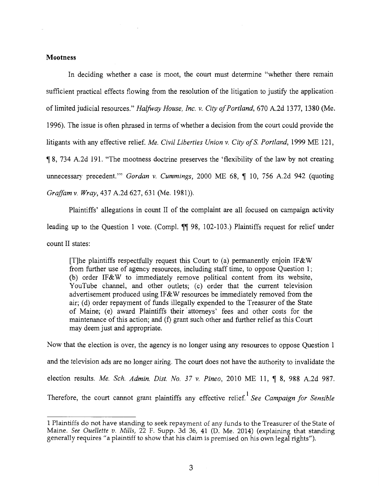# **Mootness**

In deciding whether a case is moot, the court must determine "whether there remain sufficient practical effects flowing from the resolution of the litigation to justify the application of limited judicial resources." *Halfway House, Inc. v. City of Portland,* 670 A.2d 1377, 1380 (Me. 1996). The issue is often phrased in terms of whether a decision from the court could provide the litigants with any effective relief. *Me. Civil Liberties Union v. City ofS. Portland,* 1999 ME 121, <sup>~</sup>8, 734 A.2d 191. "The mootness doctrine preserves the 'flexibility of the law by not creating unnecessary precedent." *Gordan v. Cummings*, 2000 ME 68, ¶ 10, 756 A.2d 942 (quoting *Graffam v. Wray,* 437 A.2d 627, 631 (Me. 1981)).

Plaintiffs' allegations in count II of the complaint are all focused on campaign activity leading up to the Question 1 vote. (Compl.  $\P$  98, 102-103.) Plaintiffs request for relief under count II states:

[T]he plaintiffs respectfully request this Court to (a) permanently enjoin IF&W from further use of agency resources, including staff time, to oppose Question 1; (b) order IF&W to immediately remove political content from its website, YouTube channel, and other outlets; (c) order that the current television advertisement produced using IF & W resources be immediately removed from the air; (d) order repayment of funds illegally expended to the Treasurer of the State of Maine; (e) award Plaintiffs their· attorneys' fees and other costs for the maintenance of this action; and (f) grant such other and further relief as this Court may deem just and appropriate.

Now that the election is over, the agency is no longer using any resources to oppose Question 1 and the television ads are no longer airing. The court does not have the authority to invalidate the election results. *Me. Sch. Admin. Dist. No.* 37 v. Pineo, 2010 ME 11, ¶ 8, 988 A.2d 987. Therefore, the court cannot grant plaintiffs any effective relief.<sup>1</sup> See Campaign for Sensible

<sup>1</sup> Plaintiffs do not have standing to seek repayment of any funds to the Treasurer of the State of Maine. *See Ouellette v. Mills,* 22 F. Supp. 3d 36, 41 (D. Me. 2014) (explaining that standing generally requires "a plaintiff to show that his claim is premised on his own legal rights").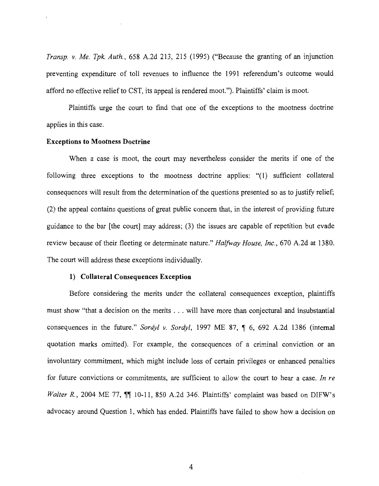*Transp. v. Me. Tpk. Auth.,* 658 A.2d 213, 215 (1995) ("Because the granting of an injunction preventing expenditure of toll revenues to influence the 1991 referendum's outcome would afford no effective relief to CST, its appeal is rendered moot."). Plaintiffs' claim is moot.

Plaintiffs urge the court to find that one of the exceptions to the mootness doctrine applies in this case.

### **Exceptions to Mootness Doctrine**

When a case is moot, the court may nevertheless consider the merits if one of the following three exceptions to the mootness doctrine applies: "(1) sufficient collateral consequences will result from the determination of the questions presented so as to justify relief; (2) the appeal contains questions of great public concern that, in the interest of providing future guidance to the bar [the court] may address; (3) the issues are capable of repetition but evade review because of their fleeting or determinate nature." *Halfway House, Inc.,* 670 A.2d at 1380. The court will address these exceptions individually.

## **1) Collateral Consequences Exception**

Before considering the merits under the collateral consequences exception, plaintiffs must show "that a decision on the merits ... will have more than conjectural and insubstantial consequences in the future." *Sordyl v. Sordyl*, 1997 ME 87, ¶ 6, 692 A.2d 1386 (internal quotation marks omitted). For example, the consequences of a criminal conviction or an involuntary commitment, which might include loss of certain privileges or enhanced penalties for future convictions or commitments, are sufficient to allow the court to hear a case. *In re Walter R.*, 2004 ME 77,  $\P$  10-11, 850 A.2d 346. Plaintiffs' complaint was based on DIFW's advocacy around Question 1, which has ended. Plaintiffs have failed to show how a decision on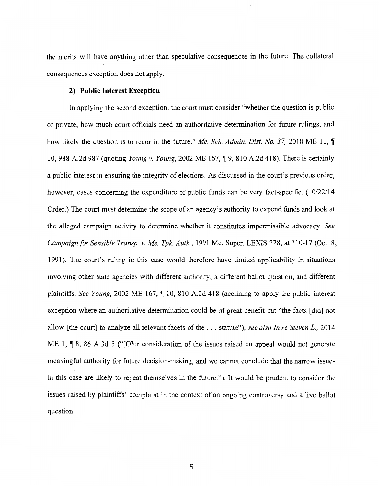the merits will have anything other than speculative consequences in the future. The collateral consequences exception does not apply.

### **2) Public Interest Exception**

In applying the second exception, the court must consider "whether the question is public or private, how much court officials need an authoritative determination for future rulings, and how likely the question is to recur in the future." *Me. Sch. Admin. Dist. No.* 37, 2010 ME 11,  $\P$ 10, 988 A.2d 987 (quoting *Young v. Young*, 2002 ME 167, ¶ 9, 810 A.2d 418). There is certainly a public interest in ensuring the integrity of elections. As discussed in the court's previous order, however, cases concerning the expenditure of public funds can be very fact-specific. (10/22/14 Order.) The court must determine the scope of an agency's authority to expend funds and look at the alleged campaign activity to determine whether it constitutes impermissible advocacy. *See Campaign for Sensible Transp. v. Me. Tpk. Auth.,* 1991 Me. Super. LEXIS 228, at \*10-17 (Oct. 8, 1991). The court's ruling in this case would therefore have limited applicability in situations involving other state agencies with different authority, a different ballot question, and different plaintiffs. *See Young*, 2002 ME 167,  $\parallel$  10, 810 A.2d 418 (declining to apply the public interest exception where an authoritative determination could be df great benefit but "the facts [did] not allow [the court] to analyze all relevant facets of the ... statute"); *see also In re Steven* L., <sup>2014</sup> ME 1, ¶ 8, 86 A.3d 5 ("[O]ur consideration of the issues raised on appeal would not generate meaningful authority for future decision-making, and we cannot conclude that the narrow issues in this case are likely to repeat themselves in the future."). It would be prudent to consider the issues raised by plaintiffs' complaint in the context of an ongoing controversy and a live ballot question.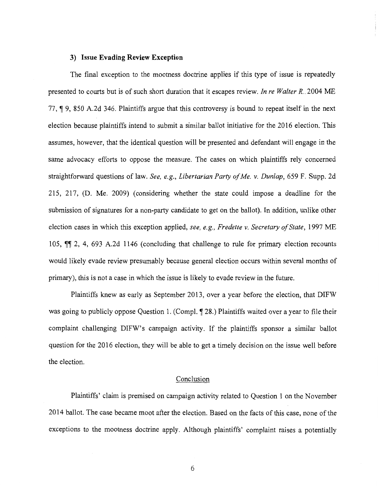### **3) Issue Evading Review Exception**

The final exception to the mootness doctrine applies if this type of issue is repeatedly presented to courts but is of such short duration that it escapes review. *In re Walter R ..* 2004 ME 77,  $\parallel$  9, 850 A.2d 346. Plaintiffs argue that this controversy is bound to repeat itself in the next election because plaintiffs intend to submit a similar ballot initiative for the 2016 election. This assumes, however, that the identical question will be presented and defendant will engage in the same advocacy efforts to oppose the measure. The cases on which plaintiffs rely concerned straightforward questions of law. *See, e.g., Libertarian Party of Me. v. Dunlap,* 659 F. Supp. 2d 215, 217, (D. Me. 2009) (considering whether the state could impose a deadline for the submission of signatures for a non-party candidate to get on the ballot). In addition, unlike other election cases in which this exception applied, *see, e.g., Fredette v. Secretary of State,* 1997 ME 105,  $\P$  2, 4, 693 A.2d 1146 (concluding that challenge to rule for primary election recounts would likely evade review presumably because general election occurs within several months of primary), this is not a case in which the issue is likely to evade review in the future.

Plaintiffs knew as early as September 2013, over a year before the election, that DIFW was going to publicly oppose Question 1. (Compl.  $\sqrt{28}$ .) Plaintiffs waited over a year to file their complaint challenging DIFW's campaign activity. If the plaintiffs sponsor a similar ballot question for the 2016 election, they will be able to get a timely decision on the issue well before the election.

### Conclusion

Plaintiffs' claim is premised on campaign activity related to Question 1 on the November 2014 ballot. The case became moot after the election. Based on the facts of this case, none of the exceptions to the mootness doctrine apply. Although plaintiffs' complaint raises a potentially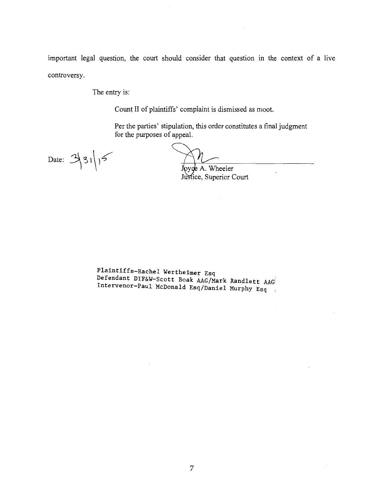important legal question, the court should consider that question in the context of a live controversy.

The entry is:

Count II of plaintiffs' complaint is dismissed as moot.

Per the parties' stipulation, this order constitutes a final judgment for the purposes of appeal.

Date:  $3|3|15$ 

A. Wheeler y( Justice, Superior Court

Plaintiffs-Rachel Wertheimer Esq Defendant DIF&W-Scott Boak AAG/Mark Randlett AAG Intervenor-Paul McDonald Esq/Daniel Murphy Esq  $\mathbf{r}$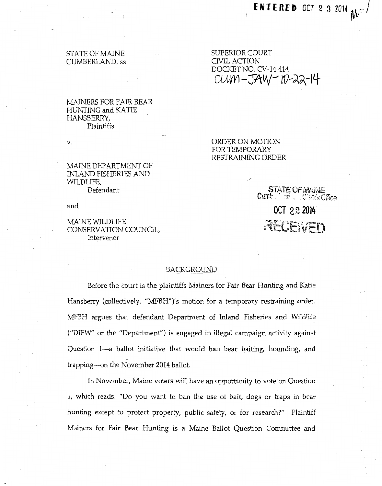# STATE OF MAINE CUMBERLAND, ss

## MAINERS FOR FAIR BEAR HENTING and KATIE HANSBERRY, Plaintiffs

V.

MAINE DEPARTMENT OF INLAND FISHERIES AND WILDLIFE, Defendant

and

## MAINE WILDLIFE CONSERVATION COCNCIL, Intervener

# SUPERIOR COURT CIVIL ACTION DOCKET NO. CV-14-414 CUM -JAW - 10-22-14

ORDER ON MOTION FOR TEMPORARY RESTRAINING ORDER

> SIAIE UF MAINE Cumbushed and a bic Creek's Office **OCT 22 2014**   $\triangle ECEVED$

### BACKGROUND

Before the court is the plaintiffs Mainers for Fair Bear Hunting and Katie Hansberry (collectively, "MFBH")'s motion for a temporary restraining order. MFBH argues that defendant Department of Inland Fisheries and Wildlife ("DIFW" or the "Department") is engaged in illegal campaign activity against Question 1—a ballot initiative that would ban bear baiting, hounding, and trapping-on the November 2014 ballot.

In November, Maine voters will have an opportunity to vote on Question 1, which reads: "Do you want to ban the use of bait, dogs or traps in bear hunting except to protect property, public safety, or for research?" Plaintiff Mainers for Fair Bear Hunting is a Maine Ballot Question Committee md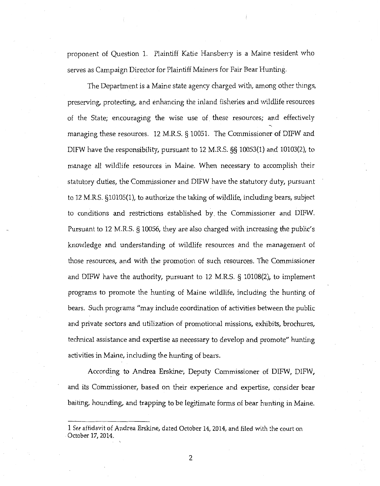proponent of Question 1. Plaintiff Katie Hansberry is a Maine resident who serves as Campaign Director for Plaintiff Mainers for Fair Bear Hunting.

The Department is a Maine state agency charged with, among other things, preserving, protecting, and enhancing the inland fisheries and 1vildlife resources of the State; encouraging the wise use of these resources; and effectively managing these resources. 12 M.R.S. § 10051. The Commissioner of DIFW and DIFW have the responsibility, pursuant to 12 M.R.S. §§ 10053(1) and 10103(2), to manage aU wildlife resources in Maine. When necessary to accomplish their statutory duties, the Commissioner and DIFW have the statutory duty, pursuant to 12 M.R.S. §10105(1), to authorize the taking of wildlife, including bears, subject to conditions and restrictions established by. the Commissioner and DIFW. Pursuant to 12 M.R.S. § 10056, they are also charged with increasing the public's knowledge and understanding of wildlife resources and the management of those resources, and with the promotion of such resources. The Commissioner and DIFW have the authority, pursuant to 12 M.R.S. § 10108(2), to implement program.s to promote the hunting of Maine wildlife, including the hunting of bears. Such programs "may include coordination of activities between the public and private sectors and utilization of promotional missions, exhibits, brochures, technical assistance and expertise as necessary to develop and promote" hunting activities in Maine, including the hunting of bears.

According to Andrea Erskine•, Deputy Commissioner of DIFW, DIFW, and its Commissioner, based on their experience and expertise, consider bear baiting, hounding, and trapping to be legitimate forms of bear hunting in Maine.

<sup>1</sup> *See* affidavit of Andrea Erskine, dated October 14, 2014, and filed with :he court on October 17, 2014.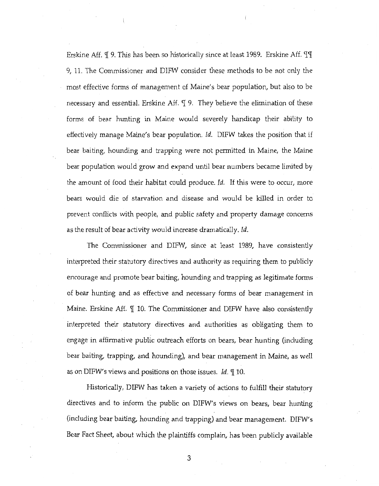Erskine Aff.  $\P$  9. This has been so historically since at least 1989. Erskine Aff.  $\P$  $\P$ 9, 11. The Commissioner and DIFW consider these methods to be not only the most effective forms of management of Maine's bear population, but also to be necessary and essential. Erskine Aff. I 9. They believe the elimination of these forms of bear hunting in Maine would severely handicap their ability to effectively manage Maine's bear population. *Id.* DIFW takes the position that if bear baiting, hounding and trapping were not permitted in Maine, the Maine bear population would grow and expand until bear numbers became limited by the amount of food their habitat could produce. *Id.* If this were to occur, more bears would die of starvation and disease and would be killed in order to prevent conflicts with people, and public safety and property damage concerns as the result of bear activity would increase dramatically. *ld.* 

The Commissioner and DIFW, since at least 1989, have consistently interpreted their statutory directives and authority as requiring them to publicly encourage and promote bear baiting, hounding and trapping as legitimate forms of bear hunting and as effective and necessary forms of bear management in Maine. Erskine Aff.  $\P$  10. The Commissioner and DIFW have also consistently interpreted their statutory directives and authorities as obligating them to engage in affirmative public outreach efforts on bears, bear hunting (including bear baiting, trapping, and hounding), and bear management in Maine, as well as on DIFW's views and positions on those issues. *Id.*  $\P$  10.

Historically, DIFW has taken a variety of actions to fulfill their statutory directives and to inform the public on DIFW's views on bears, bear hunting (including bear baiting, hounding and trapping) and bear management. DIFW's Bear Fact Sheet, about vvhich the plaintiffs complain, has been publicly available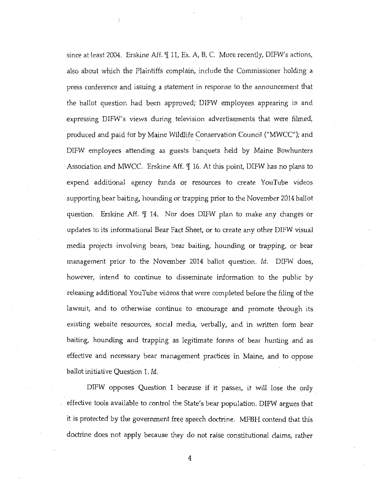since at least 2004. Erskine Aff. *[[ 11, Ex. A, B, C. More recently, DIFW's actions,* also about which the Plaintiffs complain, include the Commissioner holding a press conference and issuing a statement in response to the announcement that the ballot question had been approved; DlFW employees appearing in and expressing DIFW's views during television advertisements that were filmed, produced and paid for by Maine Wildlife Conservation Council ("MWCC"); and DIFW employees attending as guests banquets held by Maine Bowhunters Association and MWCC. Erskine Aff.  $\P$  16. At this point, DIFW has no plans to expend additional agency funds or resources to create YouTube videos supporting bear baiting, hounding or trapping prior to the November 2014 ballot question. Erskine Aff. I 14. Nor does DIFW plan to make any changes or updates to its informational Bear Fact Sheet, or to create any other DIFW visual media projects involving bears, bear baiting, hounding or trapping, or bear management prior to the November 2014 ballot question. *!d.* DIFW does, however, intend to continue to disseminate information to the public by releasing additional YouTube videos that 1vere completed before the filing of the lawsuit, and to otherwise continue to encourage and promote through its existing website resources, social media, verbally, and in written form bear baiting, hounding and trapping as legitimate forms of bear hunting and as effective and necessary bear management practices in Maine, and to oppose ballot initiative Question 1. jd.

DIFW opposes Question 1 because if it passes, it will lose the only effective tools available to control the State's bear population. DIFW argues that it is protected by the government free speech doctrine. MFBH contend that this doctrine does not apply because they do not raise constitutional claims, rather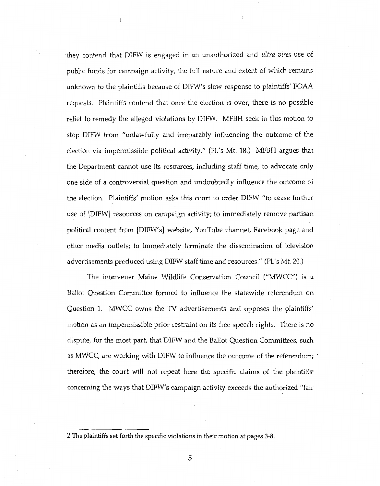they contend that DIFW is engaged in an unauthorized and *ultra vires* use of public funds for campaign activity, the full nature and extent of which remains unknown to the plaintiffs because of DIFW's slow response to plaintiffs' FOAA requests. Plaintiffs contend that once the election is over, there is no possible relief to remedy the alleged violations by DIFW. MFBH seek in this motion to stop DIFW from "unlawfully and irreparably influencing the outcome of the election via impermissible political activity." (Pl.'s Mt. 18.) MFBH argues that the Department cannot use its resources, including staff time, to advocate only one side of a controversial question and undoubtedly influence the outcome of the election. Plaintiffs' motion asks this court to order DIFW "to cease further use of [DIFW] resources on campaign activity; to immediately remove partisan political content from [DIFvV's] website, YouTube channel, Facebook page and other media outlets; to immediately terminate the dissemination of television advertisements produced using DIFW staff time and resources." (Pl.'s Mt. 20.)

The intervener Maine Wildlife Conservation Council ("MWCC") is a Ballot Question Committee formed to influence the statewide referendum on Question 1. MWCC owns the TV advertisements and opposes the plaintiffs' motion as an impermissible prior restraint on its free speech rights. There is no dispute, for the most part, that DIFW and the Ballot Question Committees, such as MWCC, are working with DIFW to influence the outcome of the referendum; therefore, the court will not repeat here the specific claims of the plaintiffs• concerning the ways that DIFW's campaign activity exceeds the authorized "fair

<sup>2</sup> The plaintiffs set forth the specific violations in their motion at pages 3-8.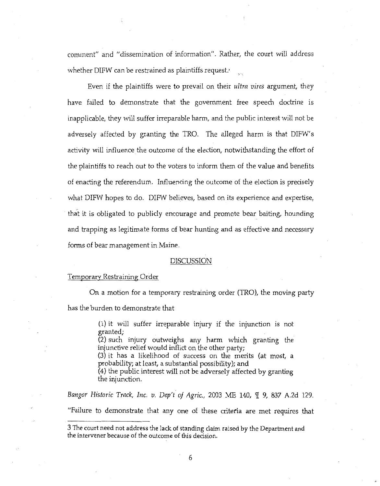comment" and "dissemination of information". Rather, the court will address whether DIFW can be restrained as plaintiffs request.<sup>,</sup>

Even if the plaintiffs were to prevail on their *ultra vires* argument, they have failed to demonstrate that the government free speech doctrine is inapplicable, they will suffer irreparable harm, and the public interest will not be adversely affected by granting the TRO. The alleged harm is that DIFW's activity will influence the outcome of the election, notwithstanding the effort of the plaintiffs to reach out to the voters to inform them of the value and benefits of enacting the referendum. Influencing the outcome of the election is precisely what DIFW hopes to do. DIFW believes, based on its experience and expertise, that it is obligated to publicly encourage and promote bear baiting, hounding and trapping as legitimate forms of bear hunting and as effective and necessary forms of bear management in Maine.

#### DISCUSSION

#### Temporary Restraining Order

On a motion for a temporary restraining order (TRO), the moving party has the burden to demonstrate that

> (1) it will suffer irreparable injury if the injunction is not granted;

> $(2)$  such injury outweighs any harm which granting the injunctive relief would inflict on the other party;

> (3) it has a likelihood of success on the merits {at most, a probability; at least, a substantial possibility); and

> (4) the public interest will not be adversely affected by granting the injunction.

*Bangor Historic Track, Inc. v. Dep't of Agric.,* 2003 ME 140,  $\P$  9, 837 A.2d 129. "Failure to demonstrate that any one of these criteria are met requires that

<sup>3</sup> The court need not address the lack of standing claim ra:sed by the Department and the intervener because of the outcome of this decision.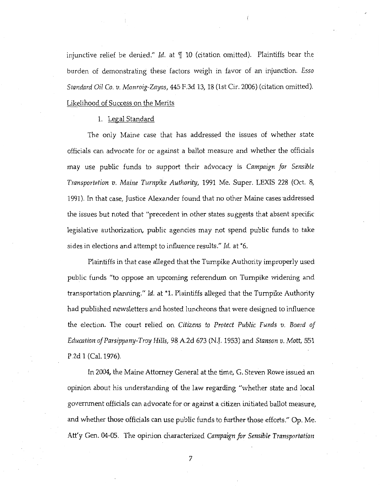injunctive relief be denied." *Id.* at 9I 10 (citation omitted). Plaintiffs bear the burden of demonstrating these factors weigh in favor of an injunction. *Esso Standard Oil* Co. *v. Monroig-Zayas,* 445 F.3d *13,* 18 (1st Cir. 2006) (citation omitted). Likelihood of Success on the Merits

#### 1. Legal Standard

The only Maine case that has addressed the issues of whether state officials can advocate for or against a ballot measure and whether the officials may use public funds to support their advocacy is *Campaign for Sensible Transportnfion v. Maine T11rnpike Authority,* 1991 Me. Super. LEXIS 228 (Oct. 8, 1991). In that case, Justice Alexander found that no other Maine cases addressed the issues but noted that "precedent in other states suggests that absent specific legislative authorization, public agencies may not spend public funds to take sides in elections and attempt to influence results." *Id.* at \*6.

Plaintiffs in that case alleged that the Turnpike Authority improperly used public funds "to oppose an upcoming referendum on Turnpike widening and transportation planning." *Id.* at \*1. Plaintiffs alleged that the Turnpike Authority had published newsletters and hosted luncheons that were designed to influence the election. The court relied on *Citizens to Protect Public Funds v. Board of Edumtion of Parsippany-Troy Hills,* 98, A.2d 673 (N.J. 1953) and *Stanson v.* Matt, 551 P.2d 1 (Cal. 1976).

In 2004, the Maine Attorney General at the time, G. Steven Rowe issued an opinion about his understanding of the law regarding "whether state and local government officials can advocate for or against a citizen initiated ballot measure, and whether those officials can use public funds to further those efforts." Op. Me. Att'y Gen. 04-05. The opinion characterized *Campaign for Sensible Transportation*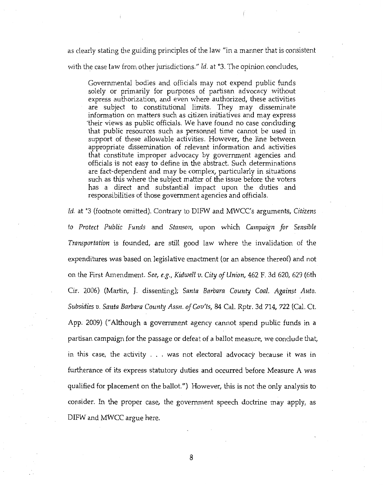as dearly stating the guiding principles of the law "in a manner that is consistent

with the case law from other jurisdictions." *ld.* at \*3. The opinion concludes,

Governmental bodies and officials may not expend public funds solely or primarily for purposes of partisan advocacy without express authorization, and even where authorized, these activities are subject to constitutional limits. They may disseminate information on matters such as citizen initiatives and may express 'their views as public officials. We have found no case concluding that public resources such as personnel time cannot be used in support of these allowable activities. However, the line between appropriate dissemination of relevant information and activities that constitute improper advocacy by government agencies and officials is not easy to define in the abstract. Such determinations are fact-dependent and may be complex, particularly in situations such as this where the subject matter of the issue before the voters has a direct and substantial impact upon the duties and responsibilities of those government agencies and officials.

Id. at <sup>\*3</sup> (footnote omitted). Contrary to DIFW and MWCC's arguments, *Citizens to Protect Public Funds* and *Stmzson,* upon which *Campaign for Sensible Transportatimz* is founded, are still good law where the invalidation of the expenditures was based on legislative enactment (or an absence thereof) and not on the First Amendment. *See, e.g., Kidwell v.* City *of Union,* 462 F. 3d 620, 629 (6th Cir. 2006) (Martin, J. dissenting); *Santa Barbara County Coal. Against Auto. Subsidies v. Santa Barbara County Assn. oJGov'ts,* 84 Cal. Rptr. 3d 714, 722 (Cal. Ct. App. 2009) ("Although a government agency cannot spend public funds in a partisan campaign for the passage or defeat of a ballot measure, \·Ve conclude that, in this case, the activity ... was not electoral advocacy because it was in furtherance of its express statutory duties and occurred before Measure A was qualified for placement on the ballot.") However, this is not the only analysis to consider. In the proper case, the government speech doctrine may apply, as DIFW and MWCC argue here.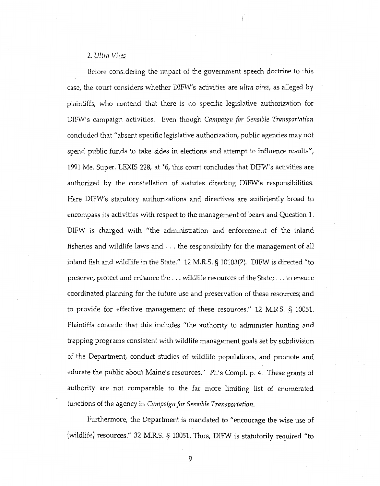### 2. *Ultra Vires*

Before considering the impact of the government speech doctrine to this case, the court considers whether DIFW's activities are *ultra vires,* as alleged by plaintiffs, who contend that there is no specific legislative authorization for DIFW's campaign activities. Even though *Campaign for Sensible Transportation*  concluded that "absent specific legislative authorization, public agencies may not spend public funds to take sides in elections and attempt to influence results", 1991 Me. Super. LEXIS 228, at \*6, this court concludes that DIFW's activities are authorized by the constellation of statutes directing DIFW's responsibilities. Here DIFW's statutory authorizations and directives are sufficiently broad to encompass its activities with respect to the management of bears and Question 1. DIFW is charged with "the administration and enforcement of the inland fisheries and wildlife laws and ... the responsibility for the management of all inland fish and wildlife in the State."  $12$  M.R.S. § 10103(2). DIFW is directed "to preserve, protect and enhance the ... wildlife resources of the State; ... to ensure coordinated planning for the future use and preservation of these resources; and to provide for effective management of these resources." 12 M.R.S. § 10051. Plaintiffs concede that this includes "the authority to administer hunting and trapping programs consistent with wildlife management goals set by subdivision of the Department, conduct studies of wildlife populations, and promote and educate the public about Maine's resources." Pl.'s Compl. p. 4. These grants of authority are not comparable to the far more limiting list of enumerated functions of the agency in *Campaign for Sensible Transportation.* 

Furthermore, the Department is mandated to "encourage the wise use of [wildlife] resources." 32 M.R.S. § 10051. Thus, DIFW is statutorily required "to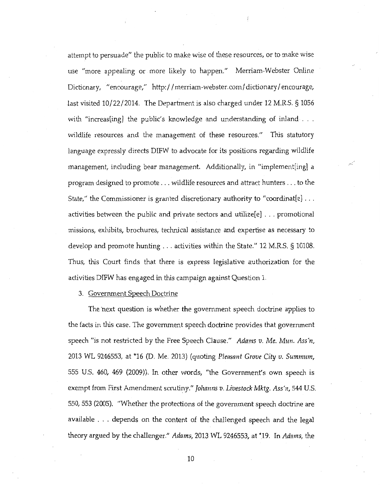attempt to persuade" the public to make wise of these resources, or to make wise use "more appealing or more likely to happen." Merriam-Webster Online Dictionary, "encourage," http://merriam-webster.com/dictionary/encourage, last visited 10/22/2014. The Department is also charged under 12 M.R.S. § 1056 with "increas[ing] the public's knowledge and understanding of inland  $\ldots$ . wildlife resources and the management of these resources." This statutory language expressly directs DIFW to advocate for its positions regarding wildlife management, including bear management. Additionally, in "implement[ing] a program designed to promote ... wildlife resources and attract hunters ... to the State," the Commissioner is granted discretionary authority to "coordinat[e] ... activities between the public and private sectors and utilize $[e]$ ... promotional missions, exhibits, brochures, technical assistance and expertise as necessary to develop and promote hunting ... activities within the State." 12 M.R.S. § 10108. Thus, this Court finds that there is express legislative authorization for the activities DIFW has engaged in this campaign against Question 1.

3. Government Speech Doctrine

The next question is whether the government speech doctrine applies to the facts in this case. The government speech doctrine provides that government speech "is not restricted by the Free Speech Clause." *Adams v. Me. Mw1. Ass'n,*  2013 WL 9246553, at \*16 (D. Me. 2013) (quoting *Pleasant Grove City v. Summum,*  555 U.S. 460, 469 (2009)). In other words, "the Government's own speech is exempt from First Amendment scrutiny." *Johanns v. Livestock Mktg. Ass'n,* 544 U.S. 550, 553 (2005). "Whether the protections of the government speech doctrine are available ... depends on the content of the challenged speech and the legal theory argued by the challenger." *Adams,* 2013 WL 9246553, at \*19. In *Adams,* the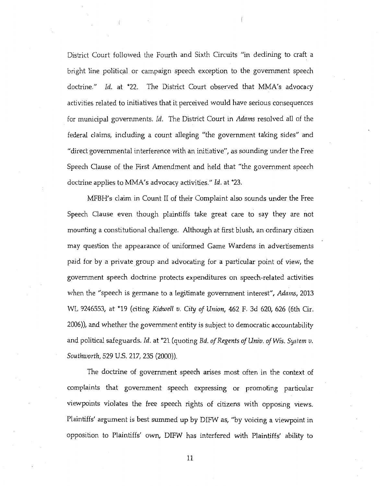District Court followed the Fourth and Sixth Circuits "in declining to craft a bright line political or campaign speech exception to the government speech doctrine." *Id.* at \*22. The District Court observed that MMA's advocacy activities related to initiatives that it perceived would have serious consequences for municipal governments. *Id.* The District Court in *Adams* resolved all of the federal claims, including a count alleging "the government taking sides" and "direct governmental interference with an initiative", as sounding under the Free Speech Clause of the First Amendment and held that "the government speech doctrine applies to MMA's advocacy activities." *ld.* at \*23.

MFBH's claim in Count II of their Complaint also sounds under the Free Speech Clause even though plaintiffs take great care to say they are not mounting a constitutional chaJlenge. Although at first blush, an ordinary citizen may question the appearance of uniformed Game Wardens in advertisements paid for by a private group and advocating for a particular point of view, the government speech doctrine protects expenditures on speech-related activities when the "speech is germane to a Legitimate government interest", *Adams,* 2013 WL 9246553, at \*19 (citing *Kidwell v.* City *of Union,* 462 F. 3d 620, 626 (6th Cir. 2006)), and whether the government entity is subject to democratic accountability and political safeguards. *Id.* at \*21 (quoting *Bd. of Regents of Univ. of Wis. System v. Sout!tworth,* 529 U.S. 217, 235 (2000)).

The doctrine of government speech arises most often in the context of compLaints that government speech expressing or promoting particular viewpoints violates the free speech rights of citizens with opposing views. Plaintiffs' argument is best summed up by DIFW as, "by voicing a viewpoint in opposition to Plaintiffs' own, DIFW has interfered with Plaintiffs' ability to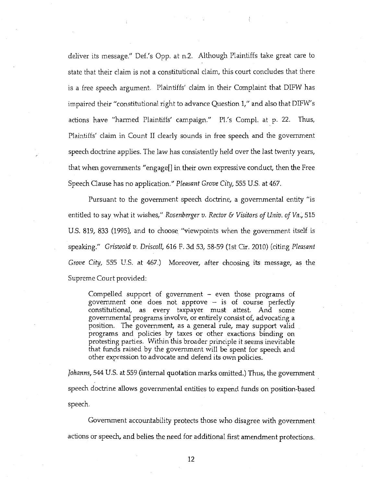deliver its message." Def.'s Opp. at n.2. Although Plaintiffs take great care to state that their claim is not a constitutional claim, this court concludes that there is a free speech argument. Plaintiffs' claim in their Complaint that DIFW has impaired their "constitutional right to advance Question 1," and also that DIFW's actions have "harmed Plaintiffs' campaign." Pl.'s Compl. at p. 22. Thus, Plaintiffs' claim in Count II clearly sounds in free speech and the government speech doctrine applies. The law has consistently held over the last twenty years, that when governments "engage[] in their own expressive conduct, then the Free Speech Clause has no application." *Pleasant Grove Cihj,* 555 U.S. at 467.

Pursuant to the government speech doctrine, a governmental entity "is entitled to say what it wishes," *Rosenberger v. Rector* & *Visitors of Univ. of Va.,* 515 U.S. 819, 833 (1995), and to choose "viewpoints when the government itself is speaking." *Griswold v. Driscoll,* 616 F. 3d 53, 58-59 (1st Cir. 2010) (citing *Pleasant Grove City,* 555 U.S. at 467.) Moreover, after choosing its message, as the Supreme Court provided:

Compelled support of government - even those programs of government one does not approve - is of course perfectly constitutional, as every taxpayer must attest. And some governmental programs involve, or entirely consist of, advocating a position. The government, as a general rule, may support valid programs and policies by taxes or other exactions binding on protesting parties. Within this broader principle it seems inevitable that funds raised by the government will be spent for speech and other expression to advocate and defend its own policies.

*Johanns,* 544 U.S. at 559 (internal quotation marks omitted.) Thus, the government speech doctrine allows governmental entities to expend funds on position-based speech.

Government accountability protects those who disagree with government actions or speech, and belies the need for additional first amendment protections.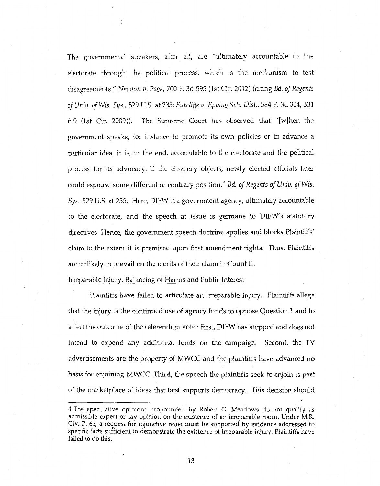The governmental speakers, after all, are "ultimately accountable to the electorate through the political process, which is the mechanism to test disagreements." *Newton v. Page,* 700 F. 3d 595 (1st Cir. 2012) (citing *Bd. of Regents of llniv. of Wis. Sys.,* 529 U.S. at 235; *Sutcliffe v. Epping Sch. Dist.,* 584 F. 3d 314, 331 n.9 (1st Cir. 2009)). The Supreme Court has observed that "[w]hen the government speaks, for instance to promote its own policies or to advance a particular idea, it is, in the end, accountable to the electorate and the political process for its advocacy. If the citizenry objects, newly elected officials later could espouse some different or contrary position." *Bd. of Regents of Univ. of Wis. Sys.,* 529 U.S. at 235. Here, DIFW is a government agency, ultimately accountable to the electorate, and the speech at issue is germane to DIFW's statutory directives. Hence, the government speech doctrine applies and blocks Plaintiffs' claim to the extent it is premised upon first amendment rights. Thus, Plaintiffs are unlikely to prevail on the merits of their claim in Count II.

#### Irreparable Injury, Balancing of Harms and Public Interest

Plaintiffs have failed to articulate an irreparable injury. Plaintiffs allege that the injury is the continued use of agency funds to oppose Question 1 and to affect the outcome of the referendum vote.· First, DIFW has stopped and does not intend to expend any additional funds on the campaign. Second, the TV advertisements are the property of MWCC and the plaintiffs have advanced no basis for enjoining MWCC. Third, the speech the plaintiffs seek to enjoin is part of the marketplace of ideas that best supports democracy. This decision should

<sup>4</sup> The speculative opinions propounded by Robert G. Meadows do not qualify as admissible expert or lay opinion on the existence of an irreparable harm. Under M.R. Civ. P. 65, a request for injunctive relief must be supported by evidence addressed to specific facts sufficient to demonstrate the existence of irreparable injury. Plaintiffs have failed to do this.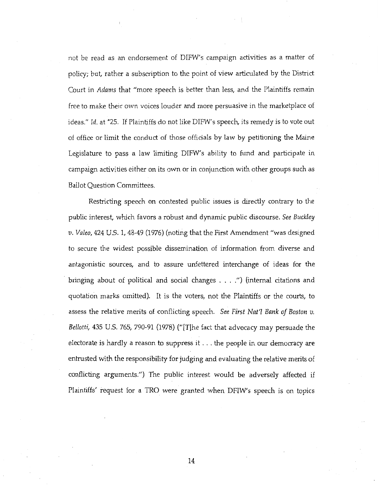not be read as an errdorsement of DIFW's campaign activities as a matter of policy; but, rather a subscription to the point of view articulated by the District Court in *Adams* that "more speech is better than less, and the Plaintiffs remain free to make their ovm voices louder and more persuasive in the marketplace of ideas." *ld.* at "'25. If Plaintiffs do not like DIFW's speech, its remedy is to vote out of office or limit the conduct of those officials by law by petitioning the Maine Legislature to pass a law limiting DIFW's ability to fund and participate in campaign activities either on its own or in conjunction with other groups such as Bailot Question Committees.

Restricting speech on contested public issues is directly contrary to the public interest, which favors a robust and dynamic public discourse. *See Bllckley*  1). *Valeo,* 424 U.S. 1, 48-49 (1976) (noting that the First Amendment "was designed to secure the widest possible dissemination of information from diverse and antagonistic sources, and to assure unfettered interchange of ideas for the bringing about of political and social changes .... ") (internal citations and quotation marks omitted). It is the voters, not the Plaintiffs or the courts, to assess the relative merits of conflicting speech. *See First Nat'l Bank of Boston v. Bellotti,* 435 U.S. 765, 790-91 (1978) ("[T]he fact that advocacy may persuade the electorate is hardly a reason to suppress it ... the people in our democracy are entrusted vvith the responsibility for judging and evaluating the relative merits of conflicting arguments.") The public interest would be adversely affected if Plaintiffs' request for a TRO were granted when DFIW's speech is on topics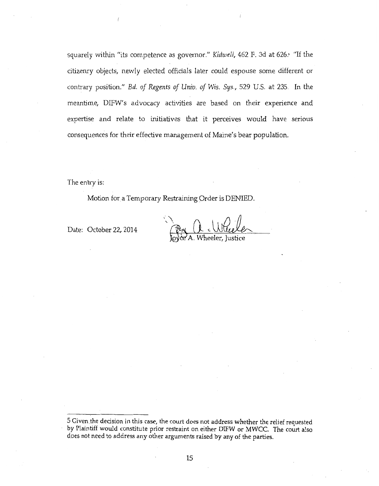squarely within "its competence as governor." *Kidwell,* 462 F. 3d at 626.' "If the citizenry objects, newly elected officials later could espouse some different or contrary position." *Ed. of Regents of Univ. of Wis. Sys.,* 529 U.S. at 235. fn the meantime, DIFW's advocacy activities are based on their experience and expertise and relate to initiatives that it perceives would have serious consequences for their effective management of Maine's bear population.

The entry is:

Motion for a Temporary Restraining Order is DENIED.

Date: October 22, 2014

<sup>5</sup> Given the decision in this case, the court does not address whether the relief requested by Plaintiff would constitute prior restraint on either DIFW or MWCC. The court a!so does not need to address any other arguments raised by any of the parties.